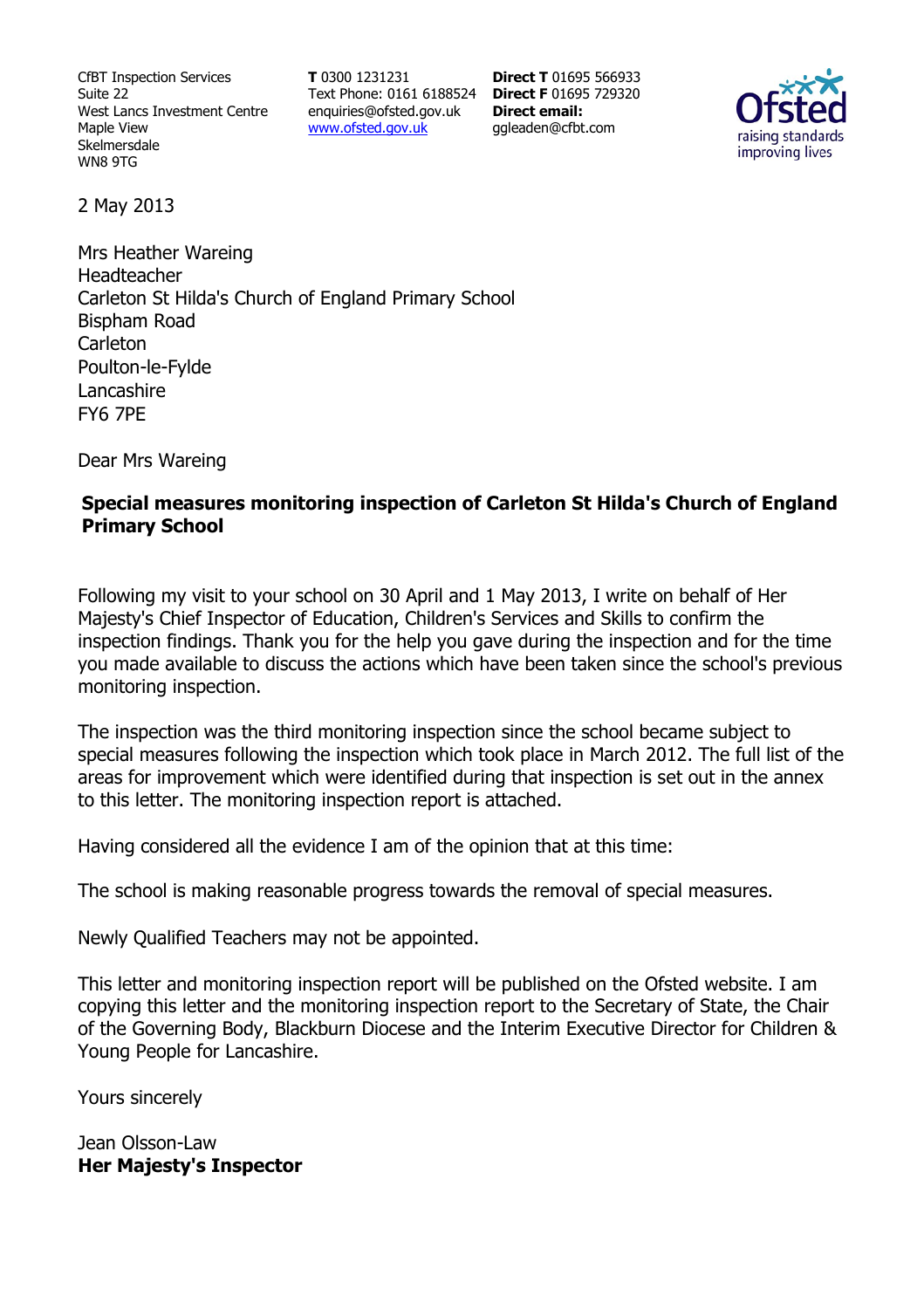CfBT Inspection Services Suite 22 West Lancs Investment Centre Maple View Skelmersdale WN8 9TG

**T** 0300 1231231 Text Phone: 0161 6188524 **Direct F** 01695 729320 enquiries@ofsted.gov.uk www.ofsted.gov.uk

**Direct T** 01695 566933 **Direct email:**  ggleaden@cfbt.com



2 May 2013

Mrs Heather Wareing Headteacher Carleton St Hilda's Church of England Primary School Bispham Road Carleton Poulton-le-Fylde Lancashire FY6 7PE

Dear Mrs Wareing

## **Special measures monitoring inspection of Carleton St Hilda's Church of England Primary School**

Following my visit to your school on 30 April and 1 May 2013, I write on behalf of Her Majesty's Chief Inspector of Education, Children's Services and Skills to confirm the inspection findings. Thank you for the help you gave during the inspection and for the time you made available to discuss the actions which have been taken since the school's previous monitoring inspection.

The inspection was the third monitoring inspection since the school became subject to special measures following the inspection which took place in March 2012. The full list of the areas for improvement which were identified during that inspection is set out in the annex to this letter. The monitoring inspection report is attached.

Having considered all the evidence I am of the opinion that at this time:

The school is making reasonable progress towards the removal of special measures.

Newly Qualified Teachers may not be appointed.

This letter and monitoring inspection report will be published on the Ofsted website. I am copying this letter and the monitoring inspection report to the Secretary of State, the Chair of the Governing Body, Blackburn Diocese and the Interim Executive Director for Children & Young People for Lancashire.

Yours sincerely

Jean Olsson-Law **Her Majesty's Inspector**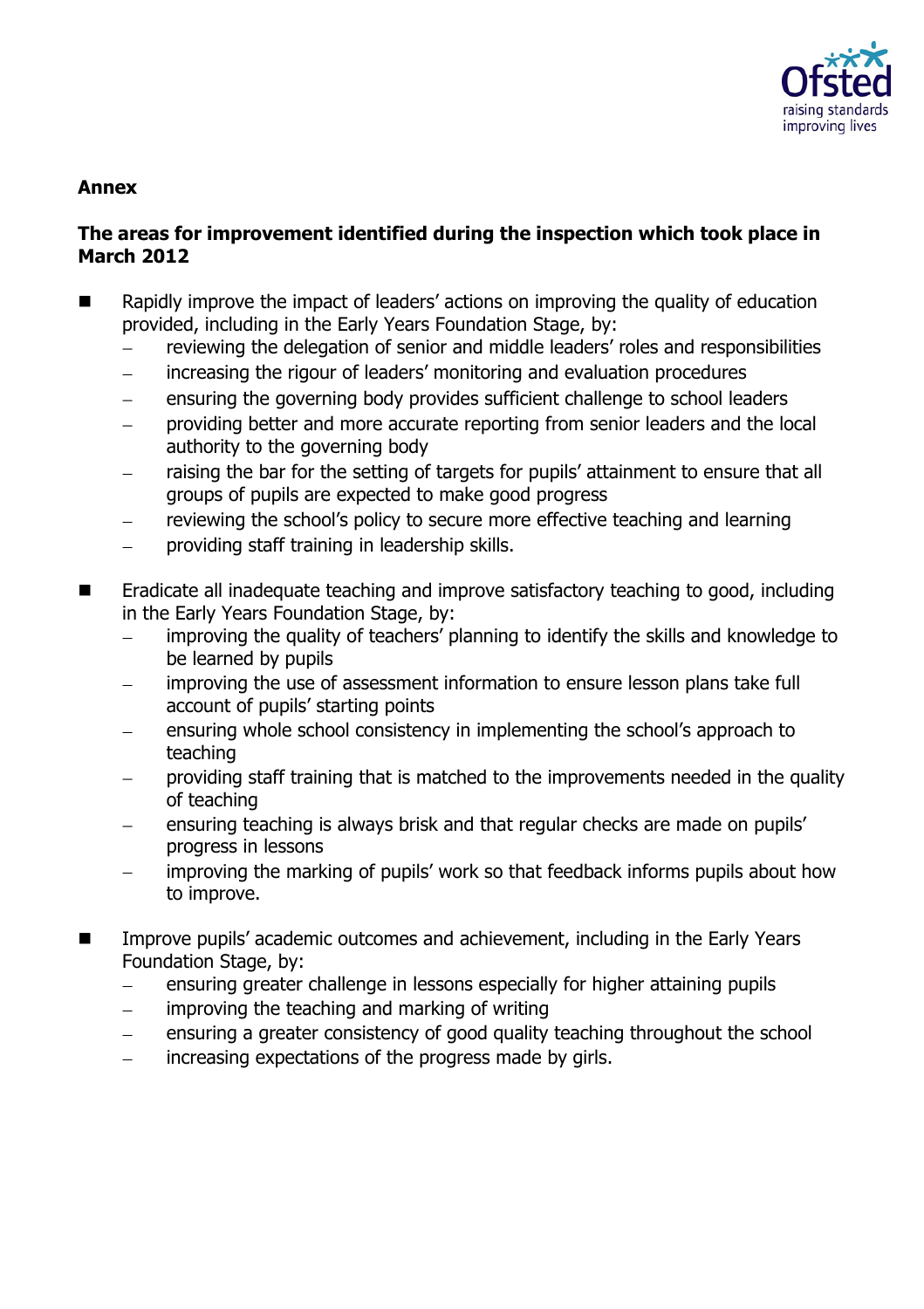

## **Annex**

# **The areas for improvement identified during the inspection which took place in March 2012**

- Rapidly improve the impact of leaders' actions on improving the quality of education provided, including in the Early Years Foundation Stage, by:
	- reviewing the delegation of senior and middle leaders' roles and responsibilities
	- increasing the rigour of leaders' monitoring and evaluation procedures
	- ensuring the governing body provides sufficient challenge to school leaders
	- providing better and more accurate reporting from senior leaders and the local authority to the governing body
	- raising the bar for the setting of targets for pupils' attainment to ensure that all groups of pupils are expected to make good progress
	- reviewing the school's policy to secure more effective teaching and learning
	- providing staff training in leadership skills.  $\equiv$
- Eradicate all inadequate teaching and improve satisfactory teaching to good, including in the Early Years Foundation Stage, by:
	- improving the quality of teachers' planning to identify the skills and knowledge to be learned by pupils
	- improving the use of assessment information to ensure lesson plans take full account of pupils' starting points
	- ensuring whole school consistency in implementing the school's approach to teaching
	- providing staff training that is matched to the improvements needed in the quality of teaching
	- ensuring teaching is always brisk and that regular checks are made on pupils' progress in lessons
	- improving the marking of pupils' work so that feedback informs pupils about how to improve.
- Improve pupils' academic outcomes and achievement, including in the Early Years Foundation Stage, by:
	- ensuring greater challenge in lessons especially for higher attaining pupils  $\equiv$
	- $\frac{1}{2}$ improving the teaching and marking of writing
	- ensuring a greater consistency of good quality teaching throughout the school
	- increasing expectations of the progress made by girls. $\equiv$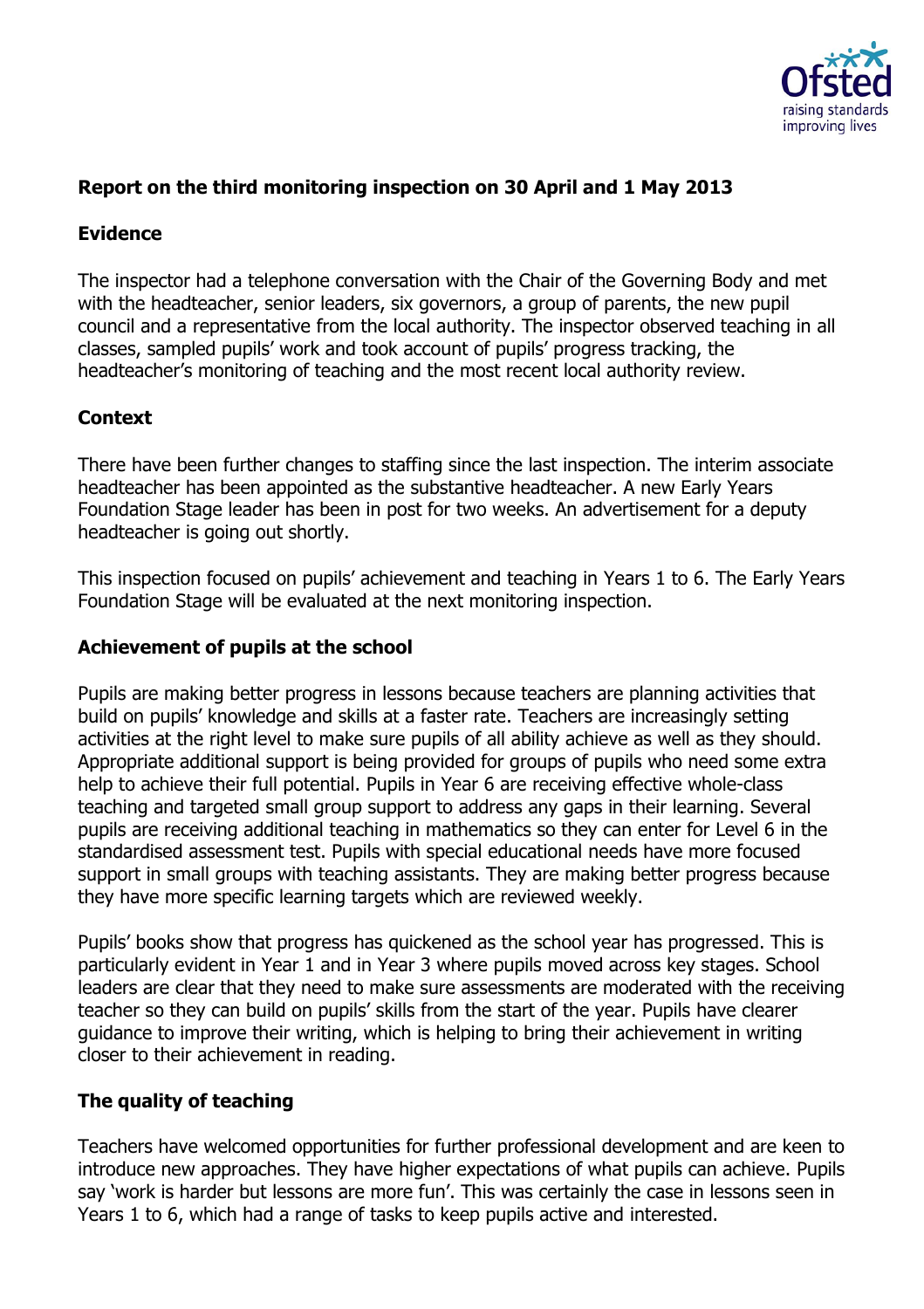

# **Report on the third monitoring inspection on 30 April and 1 May 2013**

## **Evidence**

The inspector had a telephone conversation with the Chair of the Governing Body and met with the headteacher, senior leaders, six governors, a group of parents, the new pupil council and a representative from the local authority. The inspector observed teaching in all classes, sampled pupils' work and took account of pupils' progress tracking, the headteacher's monitoring of teaching and the most recent local authority review.

# **Context**

There have been further changes to staffing since the last inspection. The interim associate headteacher has been appointed as the substantive headteacher. A new Early Years Foundation Stage leader has been in post for two weeks. An advertisement for a deputy headteacher is going out shortly.

This inspection focused on pupils' achievement and teaching in Years 1 to 6. The Early Years Foundation Stage will be evaluated at the next monitoring inspection.

#### **Achievement of pupils at the school**

Pupils are making better progress in lessons because teachers are planning activities that build on pupils' knowledge and skills at a faster rate. Teachers are increasingly setting activities at the right level to make sure pupils of all ability achieve as well as they should. Appropriate additional support is being provided for groups of pupils who need some extra help to achieve their full potential. Pupils in Year 6 are receiving effective whole-class teaching and targeted small group support to address any gaps in their learning. Several pupils are receiving additional teaching in mathematics so they can enter for Level 6 in the standardised assessment test. Pupils with special educational needs have more focused support in small groups with teaching assistants. They are making better progress because they have more specific learning targets which are reviewed weekly.

Pupils' books show that progress has quickened as the school year has progressed. This is particularly evident in Year 1 and in Year 3 where pupils moved across key stages. School leaders are clear that they need to make sure assessments are moderated with the receiving teacher so they can build on pupils' skills from the start of the year. Pupils have clearer guidance to improve their writing, which is helping to bring their achievement in writing closer to their achievement in reading.

#### **The quality of teaching**

Teachers have welcomed opportunities for further professional development and are keen to introduce new approaches. They have higher expectations of what pupils can achieve. Pupils say 'work is harder but lessons are more fun'. This was certainly the case in lessons seen in Years 1 to 6, which had a range of tasks to keep pupils active and interested.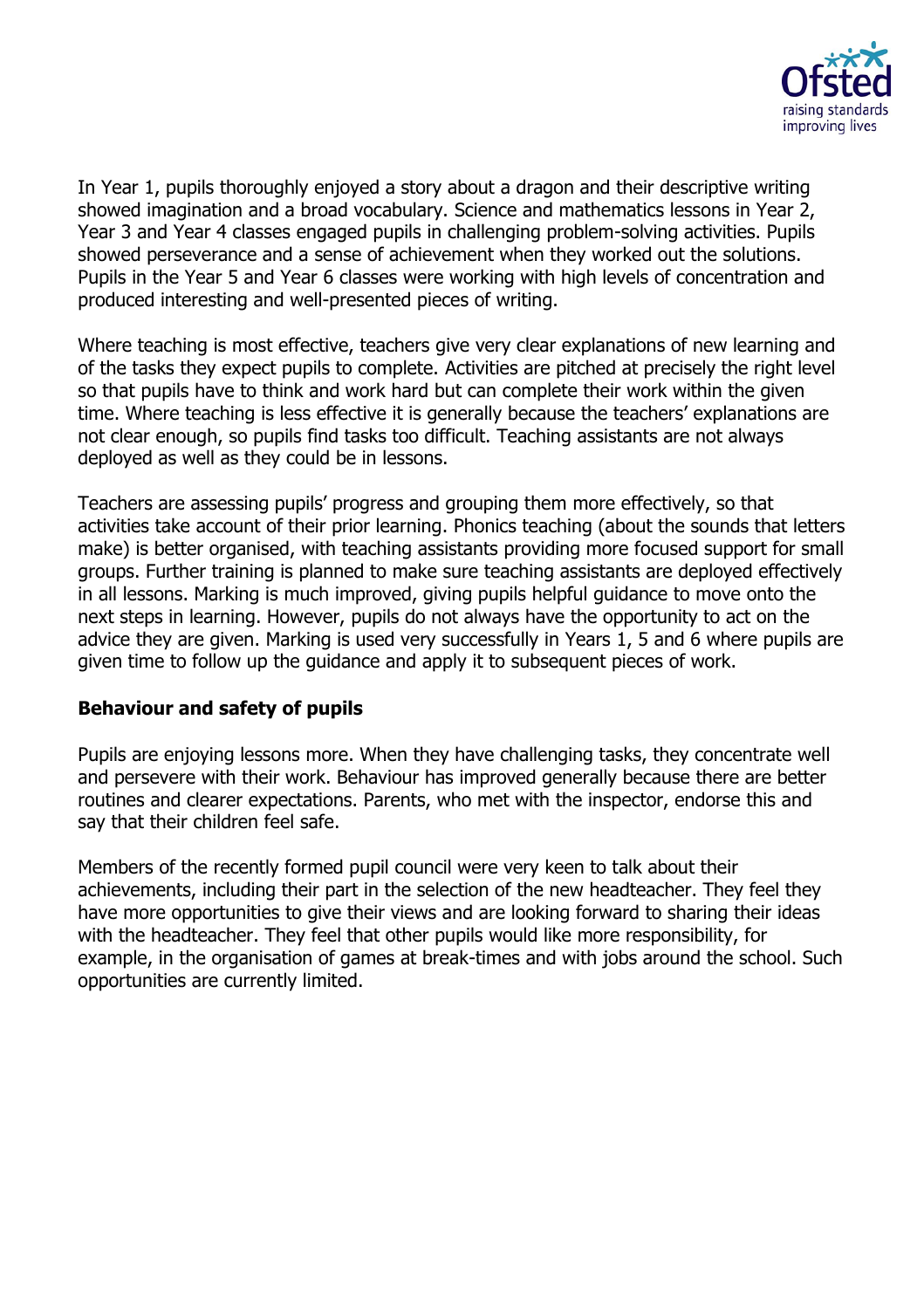

In Year 1, pupils thoroughly enjoyed a story about a dragon and their descriptive writing showed imagination and a broad vocabulary. Science and mathematics lessons in Year 2, Year 3 and Year 4 classes engaged pupils in challenging problem-solving activities. Pupils showed perseverance and a sense of achievement when they worked out the solutions. Pupils in the Year 5 and Year 6 classes were working with high levels of concentration and produced interesting and well-presented pieces of writing.

Where teaching is most effective, teachers give very clear explanations of new learning and of the tasks they expect pupils to complete. Activities are pitched at precisely the right level so that pupils have to think and work hard but can complete their work within the given time. Where teaching is less effective it is generally because the teachers' explanations are not clear enough, so pupils find tasks too difficult. Teaching assistants are not always deployed as well as they could be in lessons.

Teachers are assessing pupils' progress and grouping them more effectively, so that activities take account of their prior learning. Phonics teaching (about the sounds that letters make) is better organised, with teaching assistants providing more focused support for small groups. Further training is planned to make sure teaching assistants are deployed effectively in all lessons. Marking is much improved, giving pupils helpful guidance to move onto the next steps in learning. However, pupils do not always have the opportunity to act on the advice they are given. Marking is used very successfully in Years 1, 5 and 6 where pupils are given time to follow up the guidance and apply it to subsequent pieces of work.

#### **Behaviour and safety of pupils**

Pupils are enjoying lessons more. When they have challenging tasks, they concentrate well and persevere with their work. Behaviour has improved generally because there are better routines and clearer expectations. Parents, who met with the inspector, endorse this and say that their children feel safe.

Members of the recently formed pupil council were very keen to talk about their achievements, including their part in the selection of the new headteacher. They feel they have more opportunities to give their views and are looking forward to sharing their ideas with the headteacher. They feel that other pupils would like more responsibility, for example, in the organisation of games at break-times and with jobs around the school. Such opportunities are currently limited.